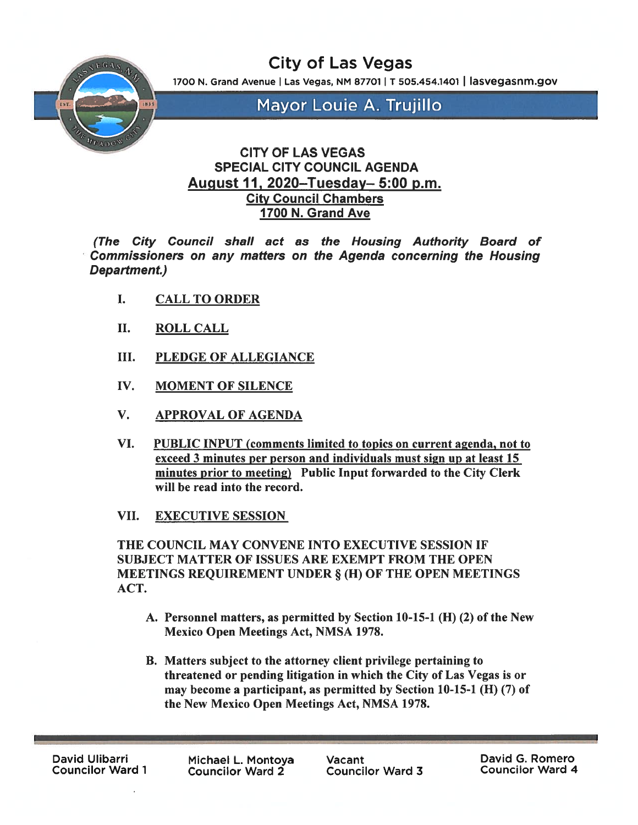City of Las Vegas

1700 N. Grand Avenue | Las Vegas, NM 87701 | T 505.454.1401 | lasvegasnm.gov



Mayor Louie A. Trujillo

## CITY OF LAS VEGAS SPECIAL CITY COUNCIL AGENDA August 11, 2020—Tuesday— 5:00 p.m. City Council Chambers 1700 N. Grand Ave

(The City Council shall act as the Housing Authority Board of Commissioners on any matters on the Agenda concerning the Housing Department.)

- I. CALL TO ORDER
- II. ROLL CALL
- III. PLEDGE OF ALLEGIANCE
- IV. MOMENT OF SILENCE
- V. APPROVAL OF AGENDA
- VI. PUBLIC INPUT (comments limited to topics on current agenda, not to exceed 3 minutes per person and individuals must sign up at least 15 minutes prior to meeting) Public Input forwarded to the City Clerk will be read into the record.
- VII. EXECUTIVE SESSION

THE COUNCIL MAY CONVENE INTO EXECUTIVE SESSION IF SUBJECT MATTER OF ISSUES ARE EXEMPT FROM THE OPEN MEETINGS REQUIREMENT UNDER § (H) OF THE OPEN MEETINGS ACT.

- A. Personnel matters, as permitted by Section 10-15-1 (H) (2) of the New Mexico Open Meetings Act, NMSA 1978.
- B. Matters subject to the attorney client privilege pertaining to threatened or pending litigation in which the City of Las Vegas is or may become a participant, as permitted by Section  $10-15-1$  (H)  $(7)$  of the New Mexico Open Meetings Act, NMSA 1978.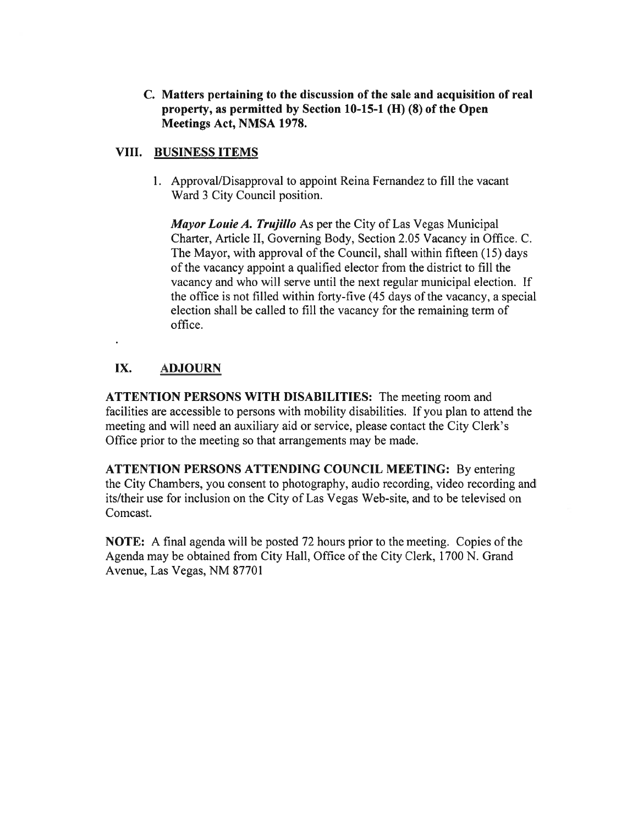C. Matters pertaining to the discussion of the sale and acquisition of real property, as permitted by Section 10-15-1 (II) (8) of the Open Meetings Act, NMSA 1978.

## VIII. BUSINESS ITEMS

1. Approval/Disapproval to appoint Reina Fernandez to fill the vacant Ward 3 City Council position.

Mayor Louie A. Trujillo As per the City of Las Vegas Municipal Charter, Article II, Governing Body, Section 2.05 Vacancy in Office. C. The Mayor, with approval of the Council, shall within fifteen (15) days of the vacancy appoint <sup>a</sup> qualified elector from the district to fill the vacancy and who will serve until the next regular municipal election. If the office is not filled within forty-five (45 days of the vacancy, <sup>a</sup> special election shall be called to fill the vacancy for the remaining term of office.

# IX. ADJOURN

ATTENTION PERSONS WITH DISABILITIES: The meeting room and facilities are accessible to persons with mobility disabilities, If you plan to attend the meeting and will need an auxiliary aid or service, please contact the City Clerk's Office prior to the meeting so that arrangements may be made.

ATTENTION PERSONS ATTENDING COUNCIL MEETING: By entering the City Chambers, you consent to photography, audio recording, video recording and its/their use for inclusion on the City of Las Vegas Web-site, and to be televised on Comcast.

NOTE: A final agenda will be posted 72 hours prior to the meeting. Copies of the Agenda may be obtained from City Hall, Office of the City Clerk, 1700 N. Grand Avenue, Las Vegas, NM 87701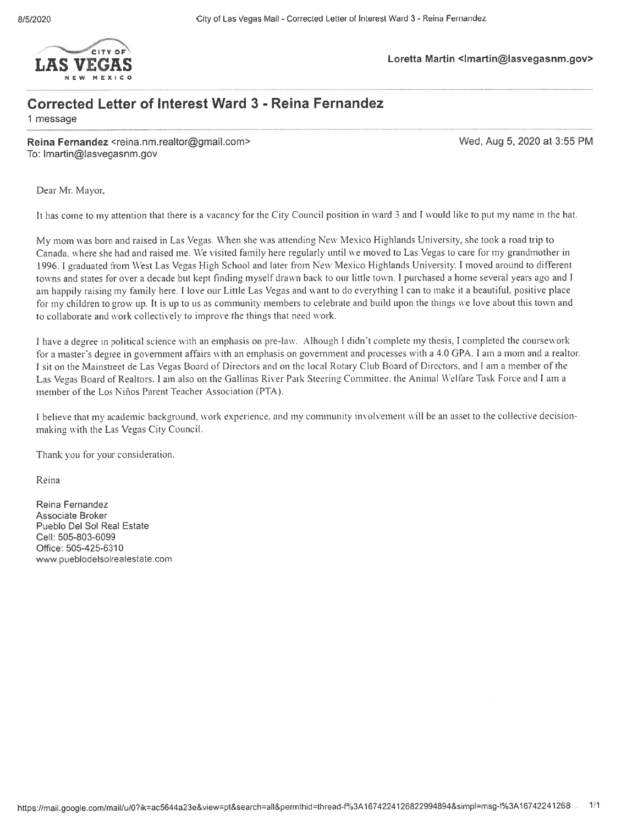

# Loretta Martin <Imartin@Iasvegasnm.gov>
Loretta Martin <Imartin@Iasvegasnm.gov>

# Corrected Letter of Interest Ward 3 - Reina Fernandez

1 message

Reina Fernandez <reina.nm.realtor@gmail.com> Wed, Aug 5, 2020 at 3:55 PM To: Imartin@lasvegasnm.gov

Dear Mr. Mayor.

It has come to my attention that there is a vacancy for the City Council position in ward 3 and I would like to put my name in the hat.

My morn was born and raised in Las Vegas. \Vhen she was attending New Mexico Highlands L'niversitv, she took <sup>a</sup> road trip to Canada, where she had and raised me. We visited family here regularly until we moved to Las Vegas to care for my grandmother in 1996. <sup>I</sup> graduated from West Las Vegas High School and later from New Mexico Highlands Lniversitv. <sup>I</sup> moved around to different towns and states for over <sup>a</sup> decade but kept finding myself drawn back to our little town. <sup>I</sup> purchased <sup>a</sup> home several years ago and I am happily raising my family here. <sup>I</sup> love our Little Las Vegas and want to do everything <sup>I</sup> can to make it <sup>a</sup> beautiful, positive <sup>p</sup>lace for my children to grow up. It is up to us as community members to celebrate and build upon the things we love about this town and to collaborate and work collectively to improve the things that need work.

I have a degree in political science with an emphasis on pre-law. Alhough I didn't complete my thesis, I completed the coursework for a master's degree in government affairs with an emphasis on government and processes with a 4.0 GPA. I am a mom and a realtor. <sup>I</sup> sit on the Mainstreet de Las Vegas Board of Directors and on the local Rotary Club Board of Directors, and <sup>I</sup> am <sup>a</sup> member of the Las Vegas Board of Realtors. I am also on the Gallinas River Park Steering Committee, the Animal Welfare Task Force and I am a member of the Los Niños Parent Teacher Association (PTA).

<sup>I</sup> believe that mv academic background. work experience, and my community involvement will he an asset to the collective decisionmaking with the Las Vegas City Council.

Thank you for your consideration.

Reina

Reina Fernandez Associate Broker Pueblo Del Sol Real Estate Cell: 505-803-6099 Office: 505-425-6310 www.pueblodelsolrealestate.com